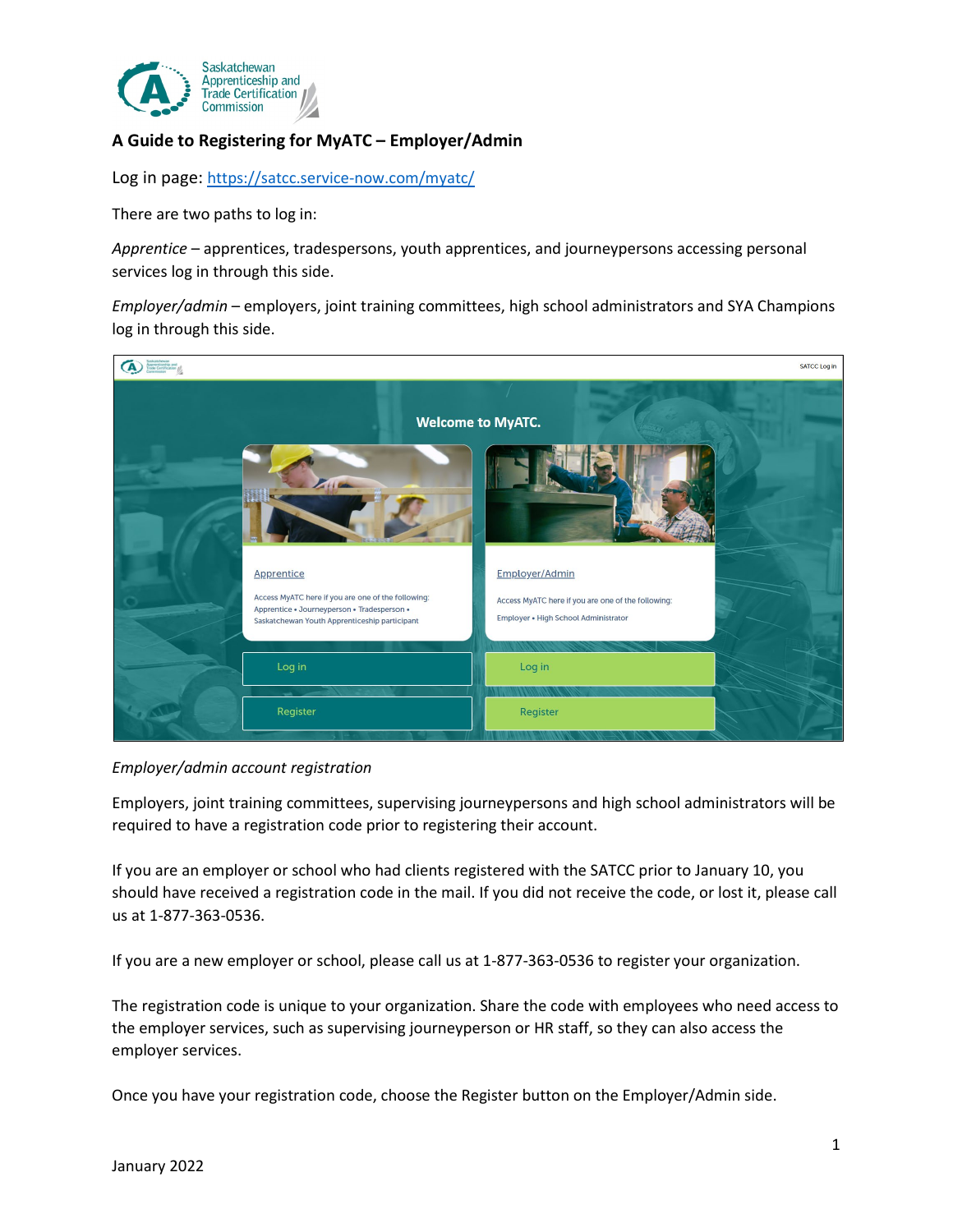

# **A Guide to Registering for MyATC – Employer/Admin**

Log in page: <https://satcc.service-now.com/myatc/>

There are two paths to log in:

*Apprentice* – apprentices, tradespersons, youth apprentices, and journeypersons accessing personal services log in through this side.

*Employer/admin* – employers, joint training committees, high school administrators and SYA Champions log in through this side.



#### *Employer/admin account registration*

Employers, joint training committees, supervising journeypersons and high school administrators will be required to have a registration code prior to registering their account.

If you are an employer or school who had clients registered with the SATCC prior to January 10, you should have received a registration code in the mail. If you did not receive the code, or lost it, please call us at 1-877-363-0536.

If you are a new employer or school, please call us at 1-877-363-0536 to register your organization.

The registration code is unique to your organization. Share the code with employees who need access to the employer services, such as supervising journeyperson or HR staff, so they can also access the employer services.

Once you have your registration code, choose the Register button on the Employer/Admin side.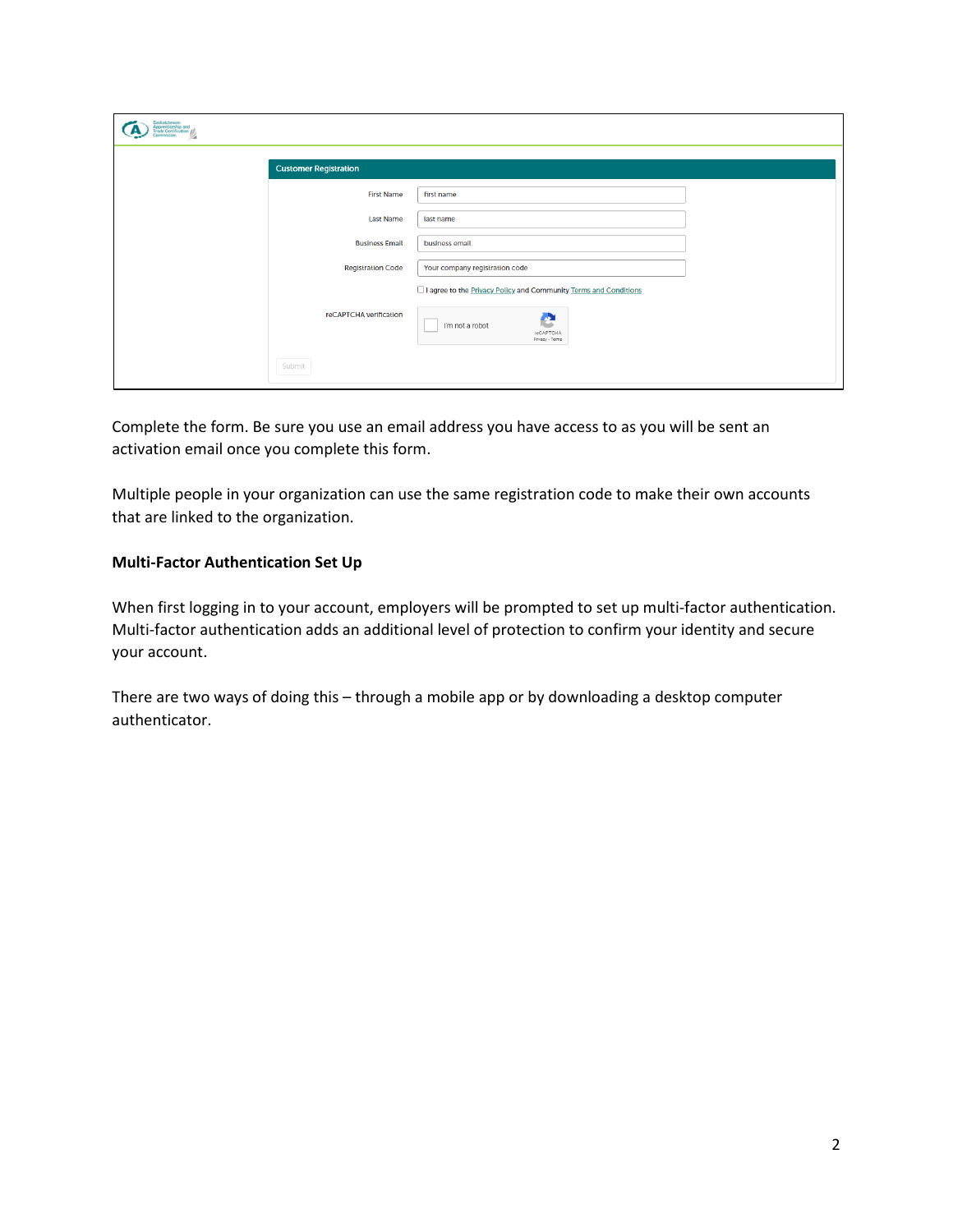| Saskatchewan<br><b>Apprenticeship and</b><br>Trade Certification |                                                                                  |  |
|------------------------------------------------------------------|----------------------------------------------------------------------------------|--|
| <b>Customer Registration</b>                                     |                                                                                  |  |
| <b>First Name</b>                                                | first name                                                                       |  |
| <b>Last Name</b>                                                 | last name                                                                        |  |
| <b>Business Email</b>                                            | business email                                                                   |  |
| <b>Registration Code</b>                                         | Your company registration code                                                   |  |
|                                                                  | □ I agree to the <b>Privacy Policy</b> and Community <b>Terms</b> and Conditions |  |
| reCAPTCHA verification                                           | A<br>I'm not a robot<br>reCAPTCHA<br>Privacy - Terms                             |  |
| Submit                                                           |                                                                                  |  |

Complete the form. Be sure you use an email address you have access to as you will be sent an activation email once you complete this form.

Multiple people in your organization can use the same registration code to make their own accounts that are linked to the organization.

# **Multi-Factor Authentication Set Up**

When first logging in to your account, employers will be prompted to set up multi-factor authentication. Multi-factor authentication adds an additional level of protection to confirm your identity and secure your account.

There are two ways of doing this – through a mobile app or by downloading a desktop computer authenticator.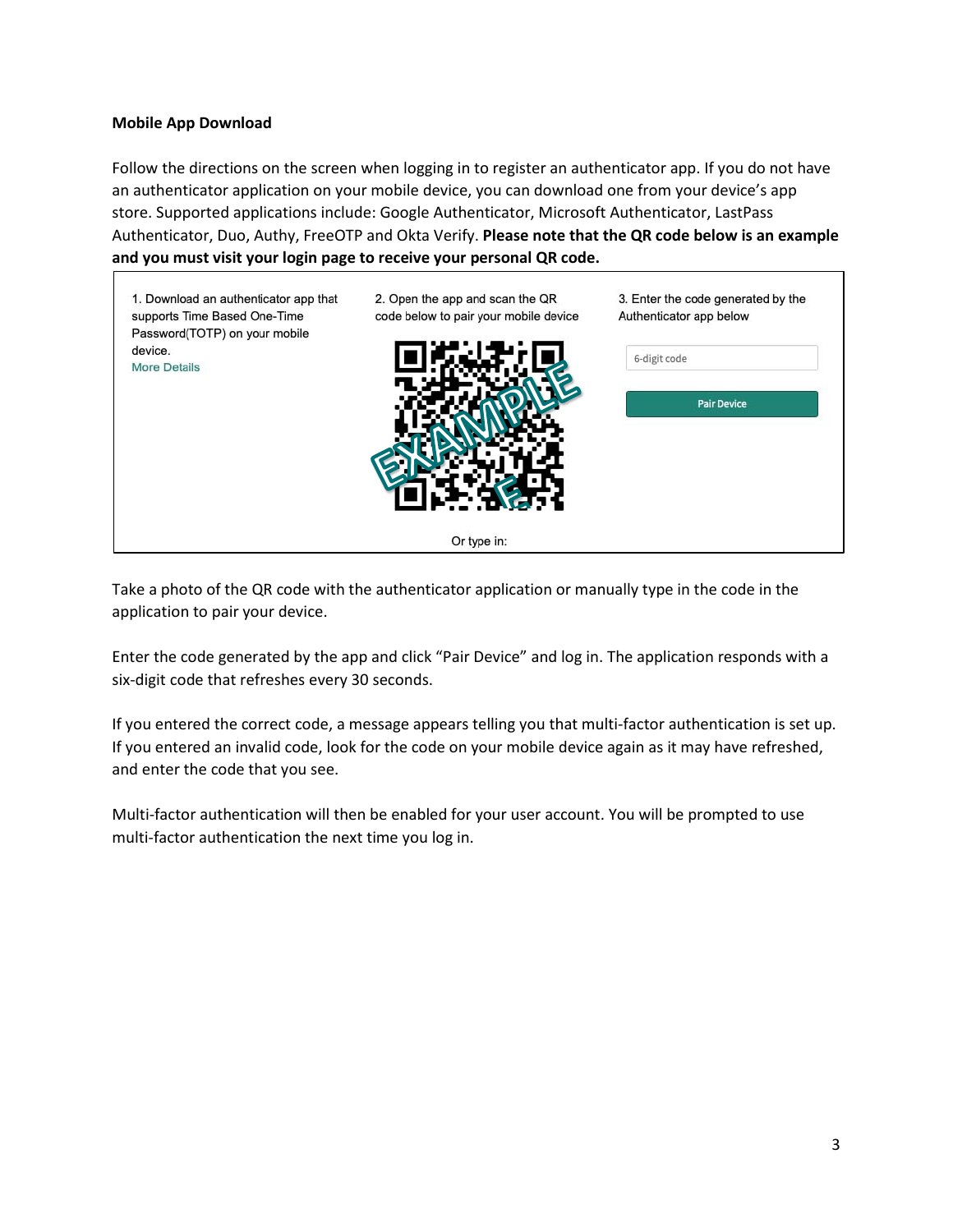# **Mobile App Download**

Follow the directions on the screen when logging in to register an authenticator app. If you do not have an authenticator application on your mobile device, you can download one from your device's app store. Supported applications include: Google Authenticator, Microsoft Authenticator, LastPass Authenticator, Duo, Authy, FreeOTP and Okta Verify. **Please note that the QR code below is an example and you must visit your login page to receive your personal QR code.**



Take a photo of the QR code with the authenticator application or manually type in the code in the application to pair your device.

Enter the code generated by the app and click "Pair Device" and log in. The application responds with a six-digit code that refreshes every 30 seconds.

If you entered the correct code, a message appears telling you that multi-factor authentication is set up. If you entered an invalid code, look for the code on your mobile device again as it may have refreshed, and enter the code that you see.

Multi-factor authentication will then be enabled for your user account. You will be prompted to use multi-factor authentication the next time you log in.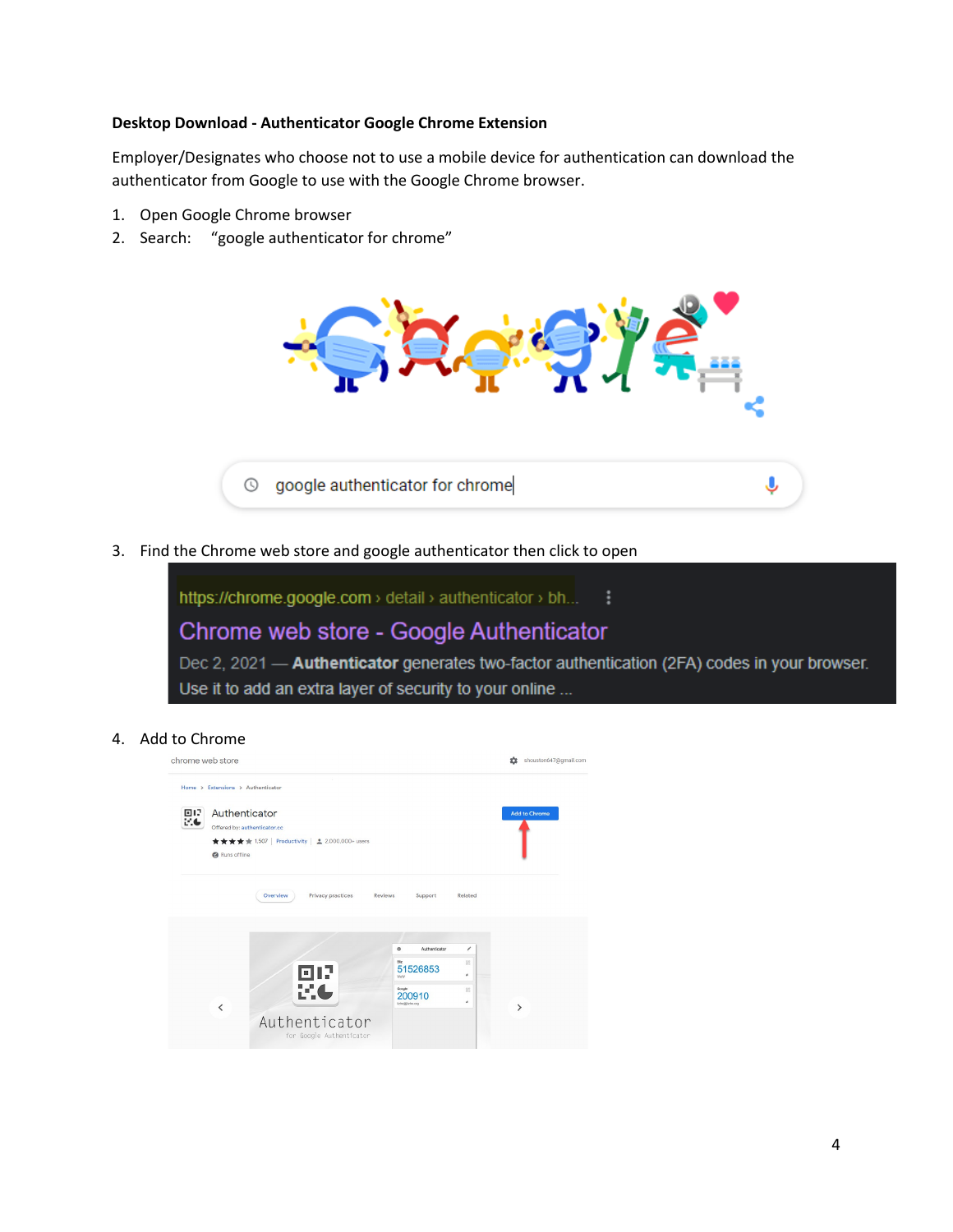#### **Desktop Download - Authenticator Google Chrome Extension**

Employer/Designates who choose not to use a mobile device for authentication can download the authenticator from Google to use with the Google Chrome browser.

- 1. Open Google Chrome browser
- 2. Search: "google authenticator for chrome"



3. Find the Chrome web store and google authenticator then click to open



4. Add to Chrome

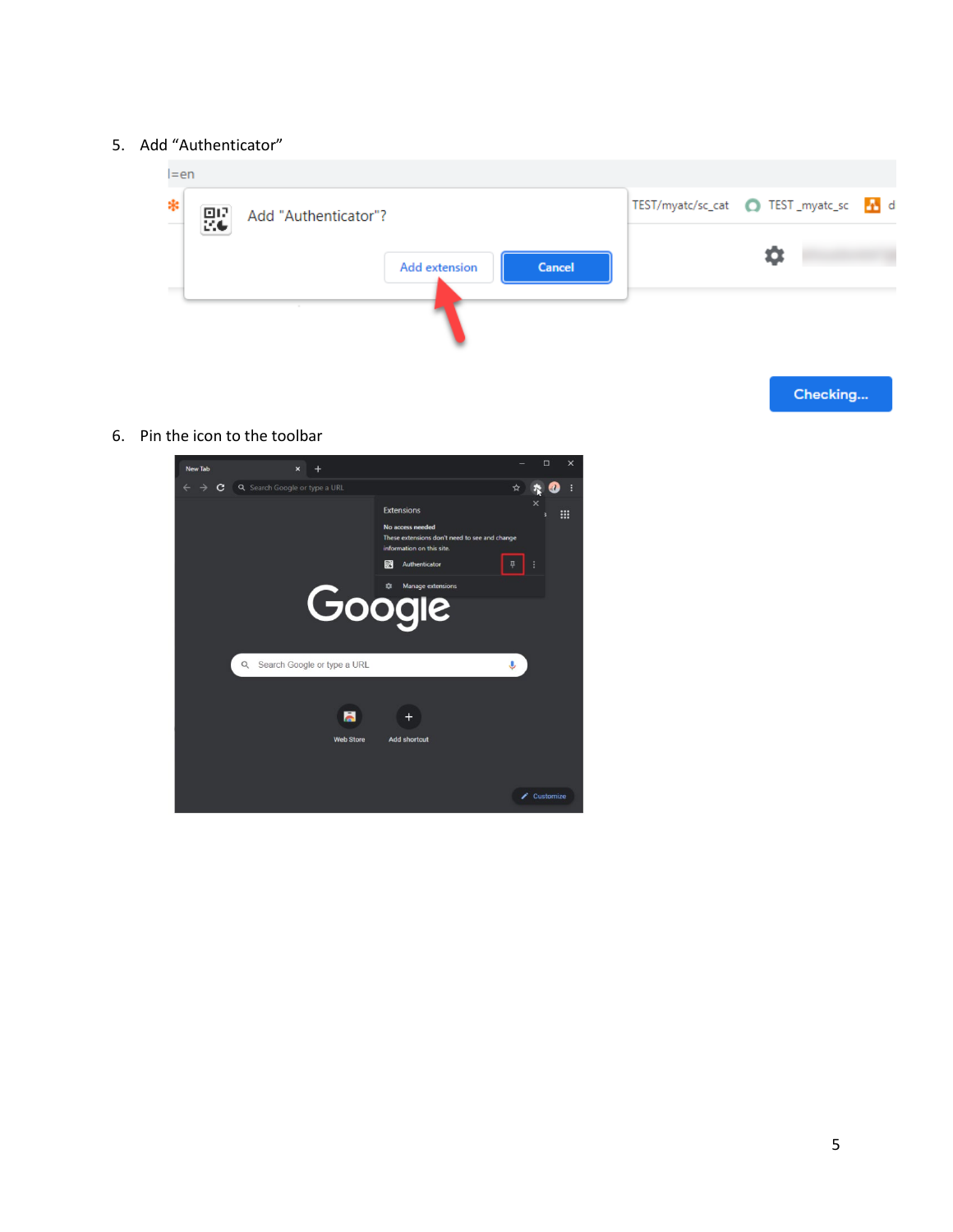### 5. Add "Authenticator"



Checking...

6. Pin the icon to the toolbar

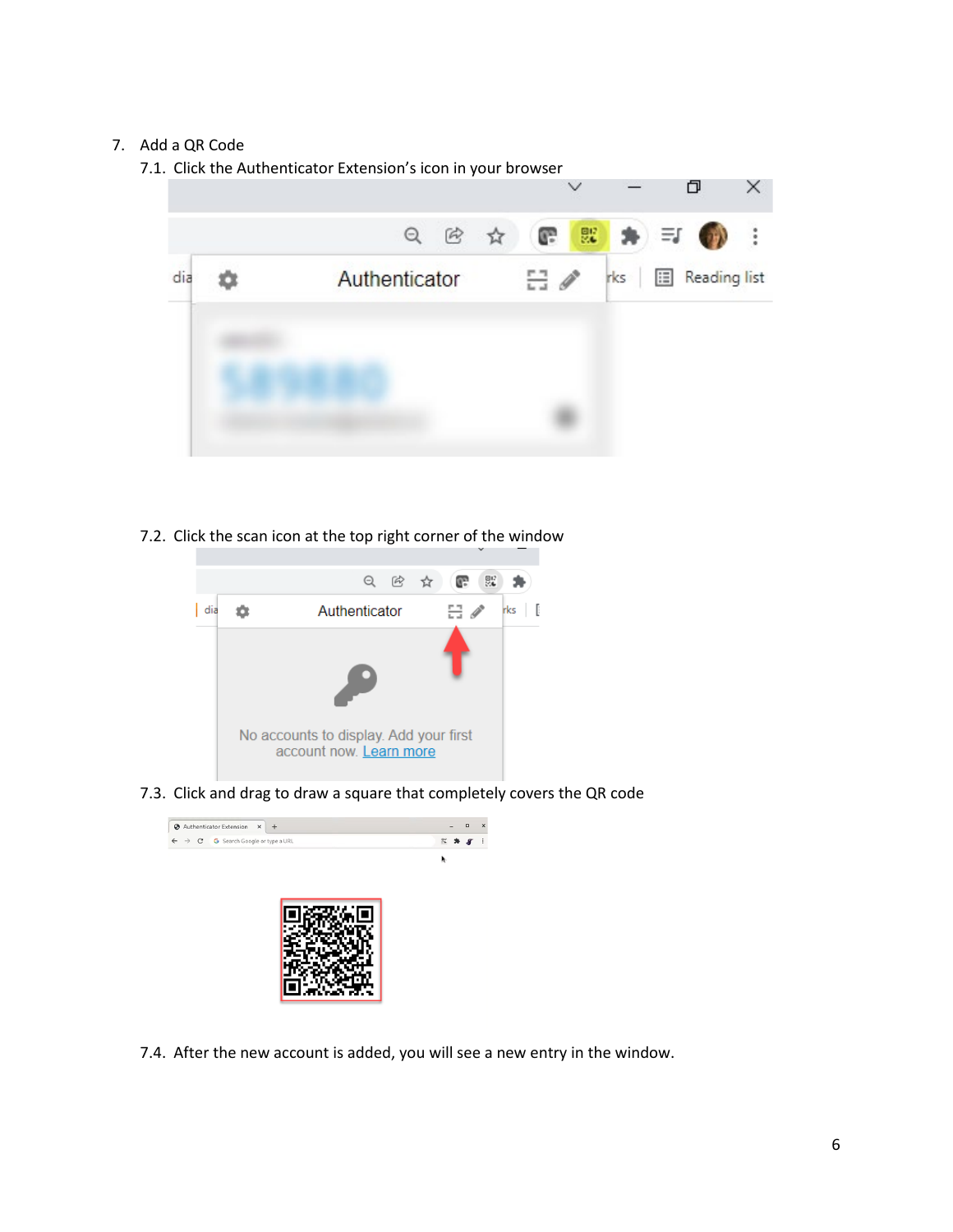# 7. Add a QR Code

- 7.1. Click the Authenticator Extension's icon in your browser ð × 號  $Q$  $[<sup>2</sup>]$ ☆ œ dia Authenticator  $\Xi$   $\theta$ **El** Reading list 壺 rks
- 7.2. Click the scan icon at the top right corner of the window



7.3. Click and drag to draw a square that completely covers the QR code



7.4. After the new account is added, you will see a new entry in the window.